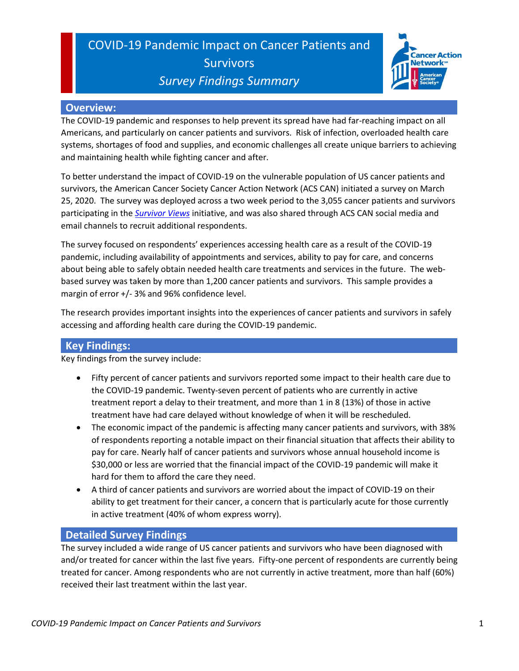### COVID-19 Pandemic Impact on Cancer Patients and **Survivors** *Survey Findings Summary*



#### **Overview:**

The COVID-19 pandemic and responses to help prevent its spread have had far-reaching impact on all Americans, and particularly on cancer patients and survivors. Risk of infection, overloaded health care systems, shortages of food and supplies, and economic challenges all create unique barriers to achieving and maintaining health while fighting cancer and after.

To better understand the impact of COVID-19 on the vulnerable population of US cancer patients and survivors, the American Cancer Society Cancer Action Network (ACS CAN) initiated a survey on March 25, 2020. The survey was deployed across a two week period to the 3,055 cancer patients and survivors participating in the *[Survivor Views](http://www.fightcancer.org/survivor-views)* initiative, and was also shared through ACS CAN social media and email channels to recruit additional respondents.

The survey focused on respondents' experiences accessing health care as a result of the COVID-19 pandemic, including availability of appointments and services, ability to pay for care, and concerns about being able to safely obtain needed health care treatments and services in the future. The webbased survey was taken by more than 1,200 cancer patients and survivors. This sample provides a margin of error +/- 3% and 96% confidence level.

The research provides important insights into the experiences of cancer patients and survivors in safely accessing and affording health care during the COVID-19 pandemic.

### **Key Findings:**

Key findings from the survey include:

- Fifty percent of cancer patients and survivors reported some impact to their health care due to the COVID-19 pandemic. Twenty-seven percent of patients who are currently in active treatment report a delay to their treatment, and more than 1 in 8 (13%) of those in active treatment have had care delayed without knowledge of when it will be rescheduled.
- The economic impact of the pandemic is affecting many cancer patients and survivors, with 38% of respondents reporting a notable impact on their financial situation that affects their ability to pay for care. Nearly half of cancer patients and survivors whose annual household income is \$30,000 or less are worried that the financial impact of the COVID-19 pandemic will make it hard for them to afford the care they need.
- A third of cancer patients and survivors are worried about the impact of COVID-19 on their ability to get treatment for their cancer, a concern that is particularly acute for those currently in active treatment (40% of whom express worry).

### **Detailed Survey Findings**

The survey included a wide range of US cancer patients and survivors who have been diagnosed with and/or treated for cancer within the last five years. Fifty-one percent of respondents are currently being treated for cancer. Among respondents who are not currently in active treatment, more than half (60%) received their last treatment within the last year.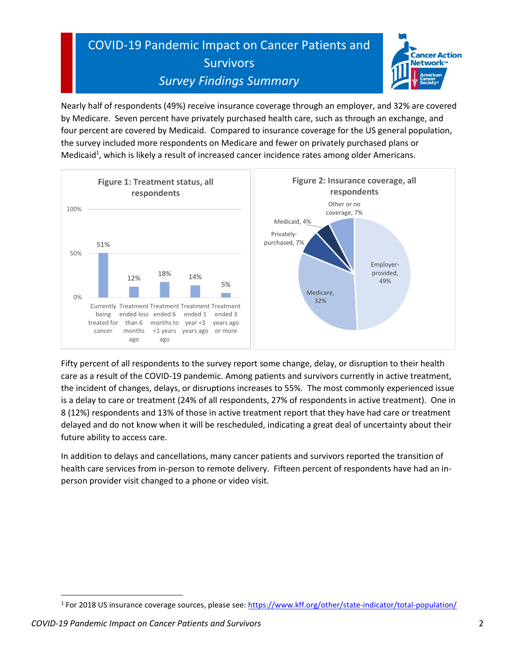# COVID-19 Pandemic Impact on Cancer Patients and **Survivors** *Survey Findings Summary*



Nearly half of respondents (49%) receive insurance coverage through an employer, and 32% are covered by Medicare. Seven percent have privately purchased health care, such as through an exchange, and four percent are covered by Medicaid. Compared to insurance coverage for the US general population, the survey included more respondents on Medicare and fewer on privately purchased plans or Medicaid<sup>1</sup>, which is likely a result of increased cancer incidence rates among older Americans.



Fifty percent of all respondents to the survey report some change, delay, or disruption to their health care as a result of the COVID-19 pandemic. Among patients and survivors currently in active treatment, the incident of changes, delays, or disruptions increases to 55%. The most commonly experienced issue is a delay to care or treatment (24% of all respondents, 27% of respondents in active treatment). One in 8 (12%) respondents and 13% of those in active treatment report that they have had care or treatment delayed and do not know when it will be rescheduled, indicating a great deal of uncertainty about their future ability to access care.

In addition to delays and cancellations, many cancer patients and survivors reported the transition of health care services from in-person to remote delivery. Fifteen percent of respondents have had an inperson provider visit changed to a phone or video visit.

<sup>&</sup>lt;sup>1</sup> For 2018 US insurance coverage sources, please see: [https://www.kff.org/other/state-indicator/total-population/](https://www.kff.org/other/state-indicator/total-population/?currentTimeframe=0&selectedRows=%7B%22wrapups%22:%7B%22united-states%22:%7B%7D%7D%7D&sortModel=%7B%22colId%22:%22Location%22,%22sort%22:%22asc%22%7D)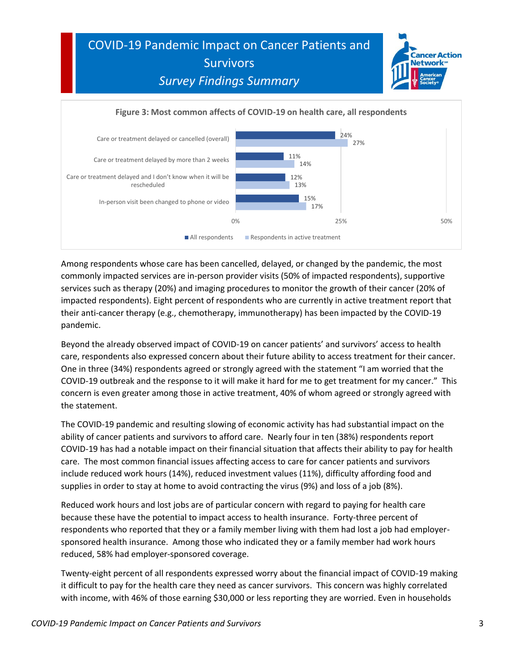



Among respondents whose care has been cancelled, delayed, or changed by the pandemic, the most commonly impacted services are in-person provider visits (50% of impacted respondents), supportive services such as therapy (20%) and imaging procedures to monitor the growth of their cancer (20% of impacted respondents). Eight percent of respondents who are currently in active treatment report that their anti-cancer therapy (e.g., chemotherapy, immunotherapy) has been impacted by the COVID-19 pandemic.

Beyond the already observed impact of COVID-19 on cancer patients' and survivors' access to health care, respondents also expressed concern about their future ability to access treatment for their cancer. One in three (34%) respondents agreed or strongly agreed with the statement "I am worried that the COVID-19 outbreak and the response to it will make it hard for me to get treatment for my cancer." This concern is even greater among those in active treatment, 40% of whom agreed or strongly agreed with the statement.

The COVID-19 pandemic and resulting slowing of economic activity has had substantial impact on the ability of cancer patients and survivors to afford care. Nearly four in ten (38%) respondents report COVID-19 has had a notable impact on their financial situation that affects their ability to pay for health care. The most common financial issues affecting access to care for cancer patients and survivors include reduced work hours (14%), reduced investment values (11%), difficulty affording food and supplies in order to stay at home to avoid contracting the virus (9%) and loss of a job (8%).

Reduced work hours and lost jobs are of particular concern with regard to paying for health care because these have the potential to impact access to health insurance. Forty-three percent of respondents who reported that they or a family member living with them had lost a job had employersponsored health insurance. Among those who indicated they or a family member had work hours reduced, 58% had employer-sponsored coverage.

Twenty-eight percent of all respondents expressed worry about the financial impact of COVID-19 making it difficult to pay for the health care they need as cancer survivors. This concern was highly correlated with income, with 46% of those earning \$30,000 or less reporting they are worried. Even in households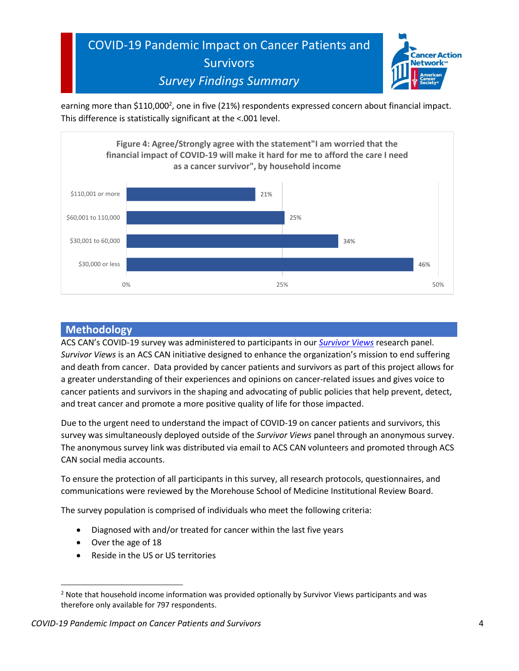

earning more than \$110,000<sup>2</sup>, one in five (21%) respondents expressed concern about financial impact. This difference is statistically significant at the <.001 level.



#### **Methodology**

ACS CAN's COVID-19 survey was administered to participants in our *[Survivor Views](http://www.fightcancer.org/survivor-views)* research panel. *Survivor Views* is an ACS CAN initiative designed to enhance the organization's mission to end suffering and death from cancer. Data provided by cancer patients and survivors as part of this project allows for a greater understanding of their experiences and opinions on cancer-related issues and gives voice to cancer patients and survivors in the shaping and advocating of public policies that help prevent, detect, and treat cancer and promote a more positive quality of life for those impacted.

Due to the urgent need to understand the impact of COVID-19 on cancer patients and survivors, this survey was simultaneously deployed outside of the *Survivor Views* panel through an anonymous survey. The anonymous survey link was distributed via email to ACS CAN volunteers and promoted through ACS CAN social media accounts.

To ensure the protection of all participants in this survey, all research protocols, questionnaires, and communications were reviewed by the Morehouse School of Medicine Institutional Review Board.

The survey population is comprised of individuals who meet the following criteria:

- Diagnosed with and/or treated for cancer within the last five years
- Over the age of 18
- Reside in the US or US territories

<sup>&</sup>lt;sup>2</sup> Note that household income information was provided optionally by Survivor Views participants and was therefore only available for 797 respondents.